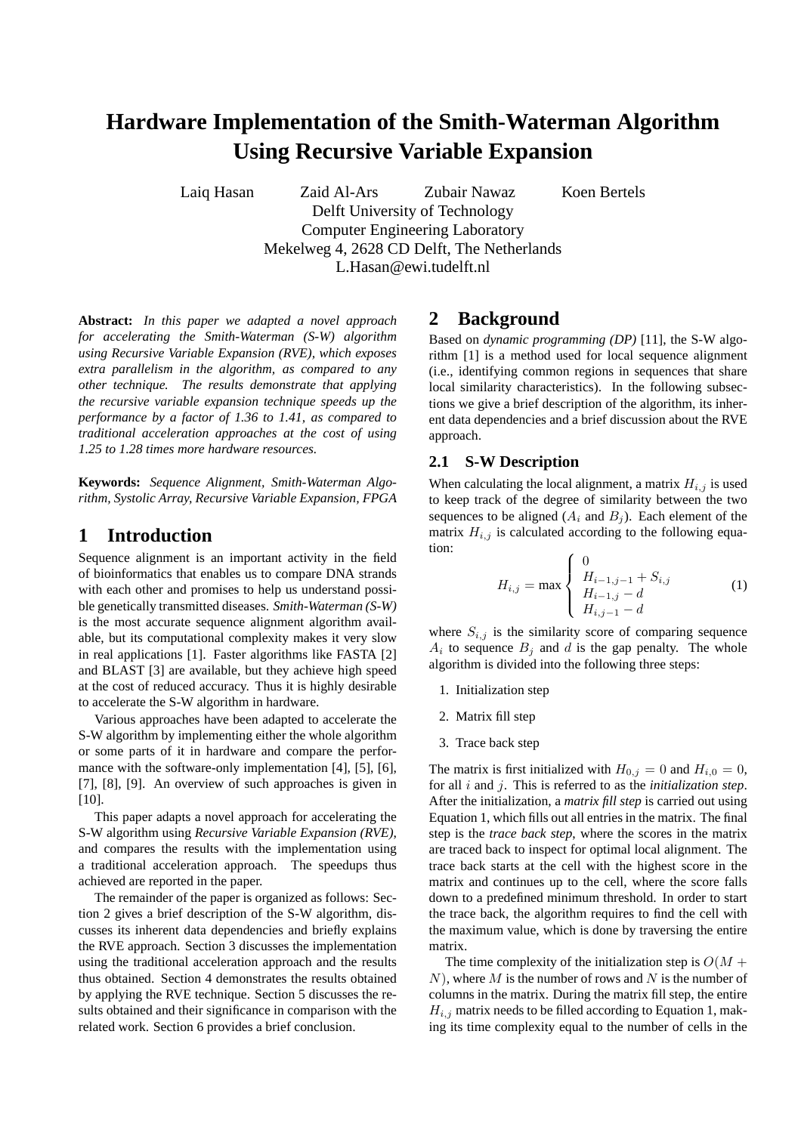# **Hardware Implementation of the Smith-Waterman Algorithm Using Recursive Variable Expansion**

Laiq Hasan Zaid Al-Ars Zubair Nawaz Koen Bertels

Delft University of Technology Computer Engineering Laboratory Mekelweg 4, 2628 CD Delft, The Netherlands L.Hasan@ewi.tudelft.nl

**Abstract:** *In this paper we adapted a novel approach for accelerating the Smith-Waterman (S-W) algorithm using Recursive Variable Expansion (RVE), which exposes extra parallelism in the algorithm, as compared to any other technique. The results demonstrate that applying the recursive variable expansion technique speeds up the performance by a factor of 1.36 to 1.41, as compared to traditional acceleration approaches at the cost of using 1.25 to 1.28 times more hardware resources.*

**Keywords:** *Sequence Alignment, Smith-Waterman Algorithm, Systolic Array, Recursive Variable Expansion, FPGA*

# **1 Introduction**

Sequence alignment is an important activity in the field of bioinformatics that enables us to compare DNA strands with each other and promises to help us understand possible genetically transmitted diseases. *Smith-Waterman (S-W)* is the most accurate sequence alignment algorithm available, but its computational complexity makes it very slow in real applications [1]. Faster algorithms like FASTA [2] and BLAST [3] are available, but they achieve high speed at the cost of reduced accuracy. Thus it is highly desirable to accelerate the S-W algorithm in hardware.

Various approaches have been adapted to accelerate the S-W algorithm by implementing either the whole algorithm or some parts of it in hardware and compare the performance with the software-only implementation [4], [5], [6], [7], [8], [9]. An overview of such approaches is given in [10].

This paper adapts a novel approach for accelerating the S-W algorithm using *Recursive Variable Expansion (RVE)*, and compares the results with the implementation using a traditional acceleration approach. The speedups thus achieved are reported in the paper.

The remainder of the paper is organized as follows: Section 2 gives a brief description of the S-W algorithm, discusses its inherent data dependencies and briefly explains the RVE approach. Section 3 discusses the implementation using the traditional acceleration approach and the results thus obtained. Section 4 demonstrates the results obtained by applying the RVE technique. Section 5 discusses the results obtained and their significance in comparison with the related work. Section 6 provides a brief conclusion.

# **2 Background**

Based on *dynamic programming (DP)* [11], the S-W algorithm [1] is a method used for local sequence alignment (i.e., identifying common regions in sequences that share local similarity characteristics). In the following subsections we give a brief description of the algorithm, its inherent data dependencies and a brief discussion about the RVE approach.

#### **2.1 S-W Description**

When calculating the local alignment, a matrix  $H_{i,j}$  is used to keep track of the degree of similarity between the two sequences to be aligned  $(A_i \text{ and } B_j)$ . Each element of the matrix  $H_{i,j}$  is calculated according to the following equation:  $\overline{a}$ 

$$
H_{i,j} = \max \begin{cases} 0 & \text{if } H_{i-1,j-1} + S_{i,j} \\ H_{i-1,j} - d & \text{if } H_{i,j-1} - d \end{cases}
$$
 (1)

where  $S_{i,j}$  is the similarity score of comparing sequence  $A_i$  to sequence  $B_j$  and d is the gap penalty. The whole algorithm is divided into the following three steps:

- 1. Initialization step
- 2. Matrix fill step
- 3. Trace back step

The matrix is first initialized with  $H_{0,j} = 0$  and  $H_{i,0} = 0$ , for all i and j. This is referred to as the *initialization step*. After the initialization, a *matrix fill step* is carried out using Equation 1, which fills out all entries in the matrix. The final step is the *trace back step*, where the scores in the matrix are traced back to inspect for optimal local alignment. The trace back starts at the cell with the highest score in the matrix and continues up to the cell, where the score falls down to a predefined minimum threshold. In order to start the trace back, the algorithm requires to find the cell with the maximum value, which is done by traversing the entire matrix.

The time complexity of the initialization step is  $O(M +$  $N$ ), where M is the number of rows and N is the number of columns in the matrix. During the matrix fill step, the entire  $H_{i,j}$  matrix needs to be filled according to Equation 1, making its time complexity equal to the number of cells in the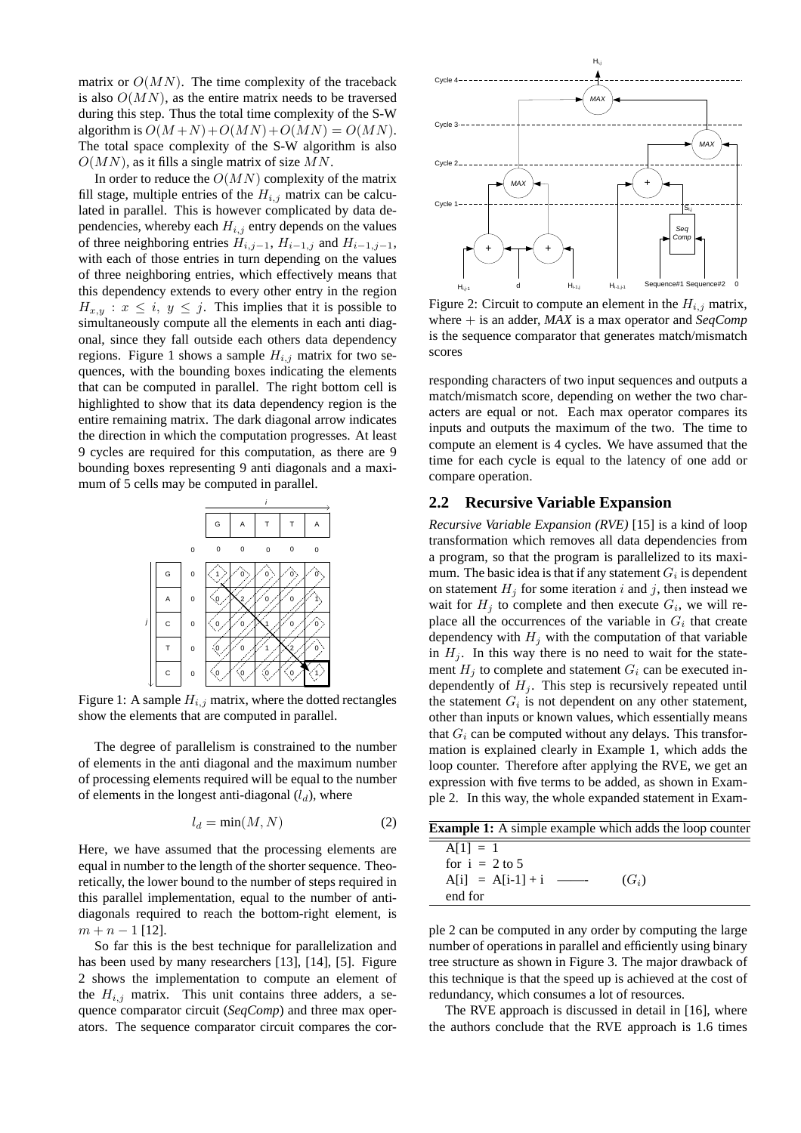matrix or  $O(MN)$ . The time complexity of the traceback is also  $O(MN)$ , as the entire matrix needs to be traversed during this step. Thus the total time complexity of the S-W algorithm is  $O(M+N) + O(MN) + O(MN) = O(MN)$ . The total space complexity of the S-W algorithm is also  $O(MN)$ , as it fills a single matrix of size MN.

In order to reduce the  $O(MN)$  complexity of the matrix fill stage, multiple entries of the  $H_{i,j}$  matrix can be calculated in parallel. This is however complicated by data dependencies, whereby each  $H_{i,j}$  entry depends on the values of three neighboring entries  $H_{i,j-1}$ ,  $H_{i-1,j}$  and  $H_{i-1,j-1}$ , with each of those entries in turn depending on the values of three neighboring entries, which effectively means that this dependency extends to every other entry in the region  $H_{x,y}$ :  $x \leq i, y \leq j$ . This implies that it is possible to simultaneously compute all the elements in each anti diagonal, since they fall outside each others data dependency regions. Figure 1 shows a sample  $H_{i,j}$  matrix for two sequences, with the bounding boxes indicating the elements that can be computed in parallel. The right bottom cell is highlighted to show that its data dependency region is the entire remaining matrix. The dark diagonal arrow indicates the direction in which the computation progresses. At least 9 cycles are required for this computation, as there are 9 bounding boxes representing 9 anti diagonals and a maximum of 5 cells may be computed in parallel.



Figure 1: A sample  $H_{i,j}$  matrix, where the dotted rectangles show the elements that are computed in parallel.

The degree of parallelism is constrained to the number of elements in the anti diagonal and the maximum number of processing elements required will be equal to the number of elements in the longest anti-diagonal  $(l_d)$ , where

$$
l_d = \min(M, N) \tag{2}
$$

Here, we have assumed that the processing elements are equal in number to the length of the shorter sequence. Theoretically, the lower bound to the number of steps required in this parallel implementation, equal to the number of antidiagonals required to reach the bottom-right element, is  $m + n - 1$  [12].

So far this is the best technique for parallelization and has been used by many researchers [13], [14], [5]. Figure 2 shows the implementation to compute an element of the  $H_{i,j}$  matrix. This unit contains three adders, a sequence comparator circuit (*SeqComp*) and three max operators. The sequence comparator circuit compares the cor-



Figure 2: Circuit to compute an element in the  $H_{i,j}$  matrix, where + is an adder, *MAX* is a max operator and *SeqComp* is the sequence comparator that generates match/mismatch scores

responding characters of two input sequences and outputs a match/mismatch score, depending on wether the two characters are equal or not. Each max operator compares its inputs and outputs the maximum of the two. The time to compute an element is 4 cycles. We have assumed that the time for each cycle is equal to the latency of one add or compare operation.

#### **2.2 Recursive Variable Expansion**

*Recursive Variable Expansion (RVE)* [15] is a kind of loop transformation which removes all data dependencies from a program, so that the program is parallelized to its maximum. The basic idea is that if any statement  $G_i$  is dependent on statement  $H_j$  for some iteration i and j, then instead we wait for  $H_j$  to complete and then execute  $G_i$ , we will replace all the occurrences of the variable in  $G_i$  that create dependency with  $H_i$  with the computation of that variable in  $H_i$ . In this way there is no need to wait for the statement  $H_j$  to complete and statement  $G_i$  can be executed independently of  $H_i$ . This step is recursively repeated until the statement  $G_i$  is not dependent on any other statement, other than inputs or known values, which essentially means that  $G_i$  can be computed without any delays. This transformation is explained clearly in Example 1, which adds the loop counter. Therefore after applying the RVE, we get an expression with five terms to be added, as shown in Example 2. In this way, the whole expanded statement in Exam-

| <b>Example 1:</b> A simple example which adds the loop counter |         |
|----------------------------------------------------------------|---------|
| $A[1] = 1$<br>for $i = 2$ to 5                                 |         |
| $A[i] = A[i-1] + i$ —<br>end for                               | $(G_i)$ |

ple 2 can be computed in any order by computing the large number of operations in parallel and efficiently using binary tree structure as shown in Figure 3. The major drawback of this technique is that the speed up is achieved at the cost of redundancy, which consumes a lot of resources.

The RVE approach is discussed in detail in [16], where the authors conclude that the RVE approach is 1.6 times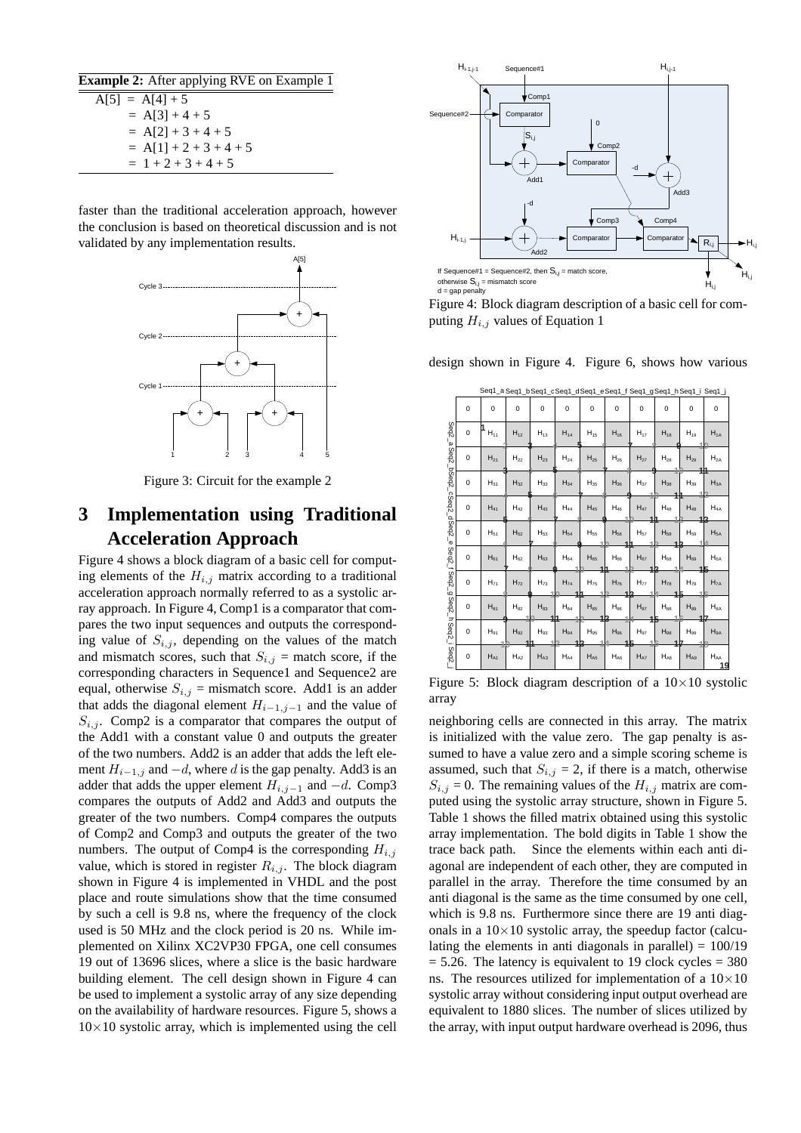| <b>Example 2:</b> After applying RVE on Example 1 |  |
|---------------------------------------------------|--|
| $A[5] = A[4]+5$                                   |  |
| $= A[3] + 4 + 5$                                  |  |
| $= A[2] + 3 + 4 + 5$                              |  |
| $= A[1] + 2 + 3 + 4 + 5$                          |  |
| $= 1 + 2 + 3 + 4 + 5$                             |  |

faster than the traditional acceleration approach, however the conclusion is based on theoretical discussion and is not validated by any implementation results.



Figure 3: Circuit for the example 2

# **3 Implementation using Traditional Acceleration Approach**

Figure 4 shows a block diagram of a basic cell for computing elements of the  $H_{i,j}$  matrix according to a traditional acceleration approach normally referred to as a systolic array approach. In Figure 4, Comp1 is a comparator that compares the two input sequences and outputs the corresponding value of  $S_{i,j}$ , depending on the values of the match and mismatch scores, such that  $S_{i,j}$  = match score, if the corresponding characters in Sequence1 and Sequence2 are equal, otherwise  $S_{i,j}$  = mismatch score. Add1 is an adder that adds the diagonal element  $H_{i-1,j-1}$  and the value of  $S_{i,j}$ . Comp2 is a comparator that compares the output of the Add1 with a constant value 0 and outputs the greater of the two numbers. Add2 is an adder that adds the left element  $H_{i-1,j}$  and  $-d$ , where d is the gap penalty. Add3 is an adder that adds the upper element  $H_{i,j-1}$  and  $-d$ . Comp3 compares the outputs of Add2 and Add3 and outputs the greater of the two numbers. Comp4 compares the outputs of Comp2 and Comp3 and outputs the greater of the two numbers. The output of Comp4 is the corresponding  $H_{i,j}$ value, which is stored in register  $R_{i,j}$ . The block diagram shown in Figure 4 is implemented in VHDL and the post place and route simulations show that the time consumed by such a cell is 9.8 ns, where the frequency of the clock used is 50 MHz and the clock period is 20 ns. While implemented on Xilinx XC2VP30 FPGA, one cell consumes 19 out of 13696 slices, where a slice is the basic hardware building element. The cell design shown in Figure 4 can be used to implement a systolic array of any size depending on the availability of hardware resources. Figure 5, shows a  $10\times10$  systolic array, which is implemented using the cell



Figure 4: Block diagram description of a basic cell for computing  $H_{i,j}$  values of Equation 1

design shown in Figure 4. Figure 6, shows how various

|                                 | Seq1_a Seq1_b Seq1_cSeq1_dSeq1_e Seq1_f Seq1_gSeq1_h Seq1_i Seq1_j |                 |                 |                |                   |                       |                |                       |          |                       |                                  |
|---------------------------------|--------------------------------------------------------------------|-----------------|-----------------|----------------|-------------------|-----------------------|----------------|-----------------------|----------|-----------------------|----------------------------------|
|                                 | 0                                                                  | 0               | 0               | 0              | 0                 | 0                     | 0              | $\mathbf 0$           | 0        | 0                     | 0                                |
|                                 | 0                                                                  | $H_{11}$        | $H_{12}$        | $H_{13}$       | $H_{14}$          | $H_{15}$              | $H_{16}$       | $H_{17}$              | $H_{18}$ | $H_{19}$              | $H_{1A}$                         |
| Seq2_a Seq2_bSeq2_cSeq2_dSeq2_e | 0                                                                  | $H_{21}$        | ${\sf H}_{22}$  | $H_{23}$       | $H_{24}$          | $H_{25}$              | $H_{26}$       | $H_{27}$              | $H_{28}$ | $H_{29}$              | $H_{2A}$                         |
|                                 | 0                                                                  | $H_{31}$        | $H_{32}$        | $H_{33}$       | $H_{34}$          | $H_{35}$              | $H_{36}$       | $H_{37}$              | $H_{38}$ | $H_{39}$              | $H_{3A}$                         |
|                                 | 0                                                                  | $H_{41}$        | $H_{42}$        | $H_{43}$       | $H_{44}$          | $H_{45}$              | $H_{46}$       | $H_{47}$              | $H_{48}$ | $H_{49}$              | H <sub>4A</sub>                  |
|                                 | 0                                                                  | $H_{51}$        | $H_{52}$        | ${\sf H}_{53}$ | H <sub>54</sub>   | $H_{55}$              | $H_{56}$       | $H_{57}$              | $H_{58}$ | ${\sf H}_{59}$        | $H_{5A}$                         |
| Seq2_f Seq2                     | 0                                                                  | H <sub>61</sub> | H <sub>62</sub> | $H_{63}$       | H <sub>64</sub>   | H <sub>65</sub><br>41 | $H_{66}$<br>4  | H <sub>67</sub><br>42 | $H_{68}$ | H <sub>69</sub><br>15 | H <sub>6A</sub>                  |
|                                 | 0                                                                  | $H_{71}$        | $H_{72}$        | $H_{73}$       | $H_{74}$          | $H_{75}$              | $H_{76}$<br>43 | $H_{77}$              | $H_{78}$ | $H_{79}$              | H <sub>7A</sub>                  |
|                                 | 0                                                                  | $H_{81}$        | $H_{82}$        | $H_{83}$       | $\mathsf{H}_{84}$ | $H_{85}$              | $H_{86}$       | $H_{87}$              | $H_{88}$ | $H_{89}$              | ${\sf H}_{\rm 8A}$               |
| g Seq2_h Seq2_i Seq2            | 0                                                                  | $H_{91}$        | $H_{92}$        | $H_{93}$       | $H_{94}$          | $H_{95}$              | $H_{96}$       | $H_{97}$              | $H_{98}$ | $H_{99}$              | $H_{9A}$                         |
|                                 | 0                                                                  | H <sub>A1</sub> | $H_{A2}$        | $H_{A3}$       | $H_{AA}$          | H <sub>AS</sub>       | $H_{AB}$       | $H_{A7}$              | $H_{AB}$ | H <sub>AS</sub>       | $\mathsf{H}_{\mathsf{AA}}$<br>19 |

Figure 5: Block diagram description of a  $10\times10$  systolic array

neighboring cells are connected in this array. The matrix is initialized with the value zero. The gap penalty is assumed to have a value zero and a simple scoring scheme is assumed, such that  $S_{i,j} = 2$ , if there is a match, otherwise  $S_{i,j} = 0$ . The remaining values of the  $H_{i,j}$  matrix are computed using the systolic array structure, shown in Figure 5. Table 1 shows the filled matrix obtained using this systolic array implementation. The bold digits in Table 1 show the trace back path. Since the elements within each anti diagonal are independent of each other, they are computed in parallel in the array. Therefore the time consumed by an anti diagonal is the same as the time consumed by one cell, which is 9.8 ns. Furthermore since there are 19 anti diagonals in a  $10\times10$  systolic array, the speedup factor (calculating the elements in anti-diagonals in parallel)  $= 100/19$  $= 5.26$ . The latency is equivalent to 19 clock cycles  $= 380$ ns. The resources utilized for implementation of a  $10\times10$ systolic array without considering input output overhead are equivalent to 1880 slices. The number of slices utilized by the array, with input output hardware overhead is 2096, thus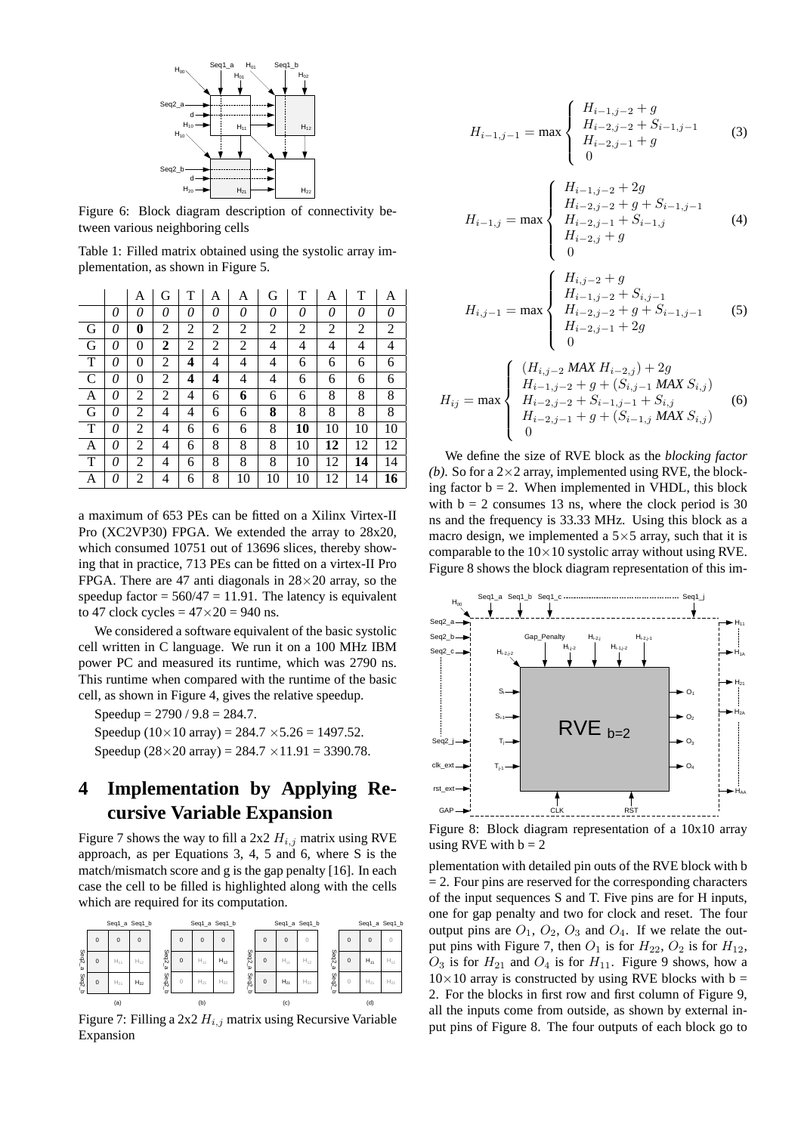

Figure 6: Block diagram description of connectivity between various neighboring cells

Table 1: Filled matrix obtained using the systolic array implementation, as shown in Figure 5.

|              |   | Α              | G | T | A | А  | G  | T  | А  | T  | А              |
|--------------|---|----------------|---|---|---|----|----|----|----|----|----------------|
|              | 0 | 0              | 0 | 0 | 0 | 0  | 0  | 0  | 0  | 0  | 0              |
| G            | 0 | 0              | 2 | 2 | 2 | 2  | 2  | 2  | 2  | 2  | $\overline{2}$ |
| G            | 0 | 0              | 2 | 2 | 2 | 2  | 4  | 4  | 4  | 4  | 4              |
| T            | 0 | $\overline{0}$ | 2 | 4 | 4 | 4  | 4  | 6  | 6  | 6  | 6              |
| $\mathsf{C}$ | 0 | $\overline{0}$ | 2 | 4 | 4 | 4  | 4  | 6  | 6  | 6  | 6              |
| A            | 0 | 2              | 2 | 4 | 6 | 6  | 6  | 6  | 8  | 8  | 8              |
| G            | 0 | 2              | 4 | 4 | 6 | 6  | 8  | 8  | 8  | 8  | 8              |
| T            | 0 | 2              | 4 | 6 | 6 | 6  | 8  | 10 | 10 | 10 | 10             |
| A            | 0 | 2              | 4 | 6 | 8 | 8  | 8  | 10 | 12 | 12 | 12             |
| T            | 0 | 2              | 4 | 6 | 8 | 8  | 8  | 10 | 12 | 14 | 14             |
| A            | 0 | 2              | 4 | 6 | 8 | 10 | 10 | 10 | 12 | 14 | 16             |

a maximum of 653 PEs can be fitted on a Xilinx Virtex-II Pro (XC2VP30) FPGA. We extended the array to 28x20, which consumed 10751 out of 13696 slices, thereby showing that in practice, 713 PEs can be fitted on a virtex-II Pro FPGA. There are 47 anti diagonals in  $28 \times 20$  array, so the speedup factor =  $560/47 = 11.91$ . The latency is equivalent to 47 clock cycles  $= 47 \times 20 = 940$  ns.

We considered a software equivalent of the basic systolic cell written in C language. We run it on a 100 MHz IBM power PC and measured its runtime, which was 2790 ns. This runtime when compared with the runtime of the basic cell, as shown in Figure 4, gives the relative speedup.

Speedup =  $2790 / 9.8 = 284.7$ . Speedup  $(10 \times 10 \text{ array}) = 284.7 \times 5.26 = 1497.52$ .

Speedup  $(28 \times 20 \text{ array}) = 284.7 \times 11.91 = 3390.78$ .

# **4 Implementation by Applying Recursive Variable Expansion**

Figure 7 shows the way to fill a 2x2  $H_{i,j}$  matrix using RVE approach, as per Equations 3, 4, 5 and 6, where S is the match/mismatch score and g is the gap penalty [16]. In each case the cell to be filled is highlighted along with the cells which are required for its computation.



Figure 7: Filling a 2x2  $H_{i,j}$  matrix using Recursive Variable Expansion

$$
H_{i-1,j-1} = \max \begin{cases} H_{i-1,j-2} + g \\ H_{i-2,j-2} + S_{i-1,j-1} \\ H_{i-2,j-1} + g \end{cases}
$$
 (3)

$$
H_{i-1,j} = \max \begin{cases} H_{i-1,j-2} + 2g \\ H_{i-2,j-2} + g + S_{i-1,j-1} \\ H_{i-2,j-1} + S_{i-1,j} \\ H_{i-2,j} + g \\ 0 \end{cases}
$$
 (4)

$$
H_{i,j-1} = \max \begin{cases} H_{i,j-2} + g \\ H_{i-1,j-2} + S_{i,j-1} \\ H_{i-2,j-2} + g + S_{i-1,j-1} \\ H_{i-2,j-1} + 2g \\ 0 \end{cases}
$$
 (5)

$$
H_{ij} = \max \left\{ \begin{array}{l} (H_{i,j-2} \text{ MAX } H_{i-2,j}) + 2g \\ H_{i-1,j-2} + g + (S_{i,j-1} \text{ MAX } S_{i,j}) \\ H_{i-2,j-2} + S_{i-1,j-1} + S_{i,j} \\ H_{i-2,j-1} + g + (S_{i-1,j} \text{ MAX } S_{i,j}) \\ 0 \end{array} \right. \tag{6}
$$

We define the size of RVE block as the *blocking factor (b)*. So for a  $2\times2$  array, implemented using RVE, the blocking factor  $b = 2$ . When implemented in VHDL, this block with  $b = 2$  consumes 13 ns, where the clock period is 30 ns and the frequency is 33.33 MHz. Using this block as a macro design, we implemented a  $5\times 5$  array, such that it is comparable to the  $10\times10$  systolic array without using RVE. Figure 8 shows the block diagram representation of this im-



Figure 8: Block diagram representation of a 10x10 array using RVE with  $b = 2$ 

plementation with detailed pin outs of the RVE block with b  $= 2$ . Four pins are reserved for the corresponding characters of the input sequences S and T. Five pins are for H inputs, one for gap penalty and two for clock and reset. The four output pins are  $O_1$ ,  $O_2$ ,  $O_3$  and  $O_4$ . If we relate the output pins with Figure 7, then  $O_1$  is for  $H_{22}$ ,  $O_2$  is for  $H_{12}$ ,  $O_3$  is for  $H_{21}$  and  $O_4$  is for  $H_{11}$ . Figure 9 shows, how a  $10\times10$  array is constructed by using RVE blocks with b = 2. For the blocks in first row and first column of Figure 9, all the inputs come from outside, as shown by external input pins of Figure 8. The four outputs of each block go to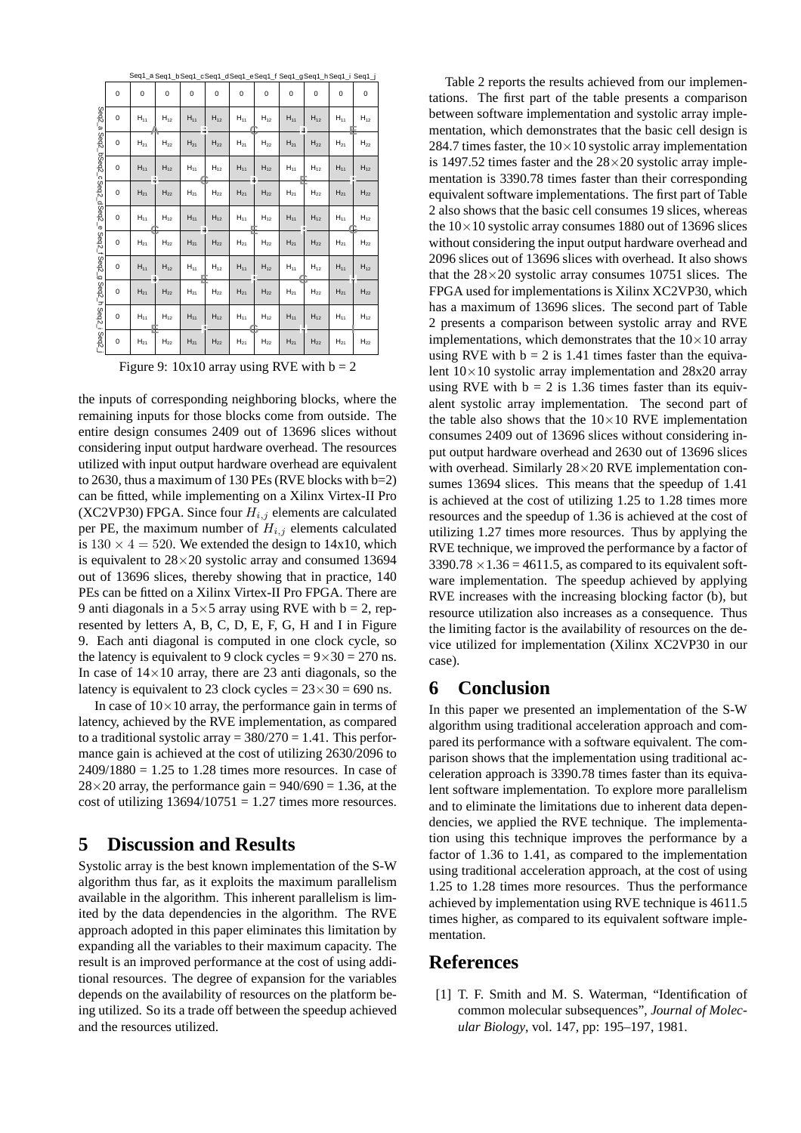|                          |   | Seq1_a Seq1_b Seq1_cSeq1_dSeq1_eSeq1_f Seq1_gSeq1_h Seq1_i Seq1_j |                |          |          |          |          |          |                   |          |          |
|--------------------------|---|-------------------------------------------------------------------|----------------|----------|----------|----------|----------|----------|-------------------|----------|----------|
|                          | 0 | 0                                                                 | 0              | 0        | 0        | 0        | 0        | 0        | 0                 | 0        | 0        |
| Seq <sub>2</sub><br>ه'   | 0 | $H_{11}$                                                          | $H_{12}$       | $H_{11}$ | $H_{12}$ | $H_{11}$ | $H_{12}$ | $H_{11}$ | $H_{12}$          | $H_{11}$ | $H_{12}$ |
|                          | 0 | $H_{21}$                                                          | $H_{22}$       | $H_{21}$ | $H_{22}$ | $H_{21}$ | $H_{22}$ | $H_{21}$ | $H_{22}$          | $H_{21}$ | $H_{22}$ |
| Seq2_bSeq2_cSeq2_dSeq2_e | 0 | $H_{11}$                                                          | $H_{12}$       | $H_{11}$ | $H_{12}$ | $H_{11}$ | $H_{12}$ | $H_{11}$ | $H_{12}$          | $H_{11}$ | $H_{12}$ |
|                          | 0 | $H_{21}$                                                          | $H_{22}$       | $H_{21}$ | $H_{22}$ | $H_{21}$ | $H_{22}$ | $H_{21}$ | $\mathsf{H}_{22}$ | $H_{21}$ | $H_{22}$ |
|                          | 0 | $H_{11}$                                                          | $H_{12}$       | $H_{11}$ | $H_{12}$ | $H_{11}$ | $H_{12}$ | $H_{11}$ | $H_{12}$          | $H_{11}$ | $H_{12}$ |
|                          | 0 | $H_{21}$                                                          | ${\sf H}_{22}$ | $H_{21}$ | $H_{22}$ | $H_{21}$ | $H_{22}$ | $H_{21}$ | $H_{22}$          | $H_{21}$ | $H_{22}$ |
| Seq2_f Seq2_g            | 0 | $H_{11}$                                                          | $H_{12}$       | $H_{11}$ | $H_{12}$ | $H_{11}$ | $H_{12}$ | $H_{11}$ | $H_{12}$          | $H_{11}$ | $H_{12}$ |
| Seq2_h                   | 0 | $H_{21}$                                                          | $H_{22}$       | $H_{21}$ | $H_{22}$ | $H_{21}$ | $H_{22}$ | $H_{21}$ | $H_{22}$          | $H_{21}$ | $H_{22}$ |
| Seq2_i                   | 0 | $H_{11}$                                                          | $H_{12}$       | $H_{11}$ | $H_{12}$ | $H_{11}$ | $H_{12}$ | $H_{11}$ | $H_{12}$          | $H_{11}$ | $H_{12}$ |
| Seq2_                    | 0 | $H_{21}$                                                          | $H_{22}$       | $H_{21}$ | $H_{22}$ | $H_{21}$ | $H_{22}$ | $H_{21}$ | $H_{22}$          | $H_{21}$ | $H_{22}$ |

Figure 9:  $10x10$  array using RVE with  $b = 2$ 

the inputs of corresponding neighboring blocks, where the remaining inputs for those blocks come from outside. The entire design consumes 2409 out of 13696 slices without considering input output hardware overhead. The resources utilized with input output hardware overhead are equivalent to 2630, thus a maximum of 130 PEs (RVE blocks with  $b=2$ ) can be fitted, while implementing on a Xilinx Virtex-II Pro (XC2VP30) FPGA. Since four  $H_{i,j}$  elements are calculated per PE, the maximum number of  $H_{i,j}$  elements calculated is  $130 \times 4 = 520$ . We extended the design to 14x10, which is equivalent to  $28\times20$  systolic array and consumed 13694 out of 13696 slices, thereby showing that in practice, 140 PEs can be fitted on a Xilinx Virtex-II Pro FPGA. There are 9 anti diagonals in a  $5 \times 5$  array using RVE with  $b = 2$ , represented by letters A, B, C, D, E, F, G, H and I in Figure 9. Each anti diagonal is computed in one clock cycle, so the latency is equivalent to 9 clock cycles =  $9 \times 30 = 270$  ns. In case of  $14\times10$  array, there are 23 anti diagonals, so the latency is equivalent to 23 clock cycles =  $23 \times 30 = 690$  ns.

In case of  $10\times10$  array, the performance gain in terms of latency, achieved by the RVE implementation, as compared to a traditional systolic array  $= 380/270 = 1.41$ . This performance gain is achieved at the cost of utilizing 2630/2096 to  $2409/1880 = 1.25$  to 1.28 times more resources. In case of  $28\times20$  array, the performance gain = 940/690 = 1.36, at the cost of utilizing  $13694/10751 = 1.27$  times more resources.

### **5 Discussion and Results**

Systolic array is the best known implementation of the S-W algorithm thus far, as it exploits the maximum parallelism available in the algorithm. This inherent parallelism is limited by the data dependencies in the algorithm. The RVE approach adopted in this paper eliminates this limitation by expanding all the variables to their maximum capacity. The result is an improved performance at the cost of using additional resources. The degree of expansion for the variables depends on the availability of resources on the platform being utilized. So its a trade off between the speedup achieved and the resources utilized.

Table 2 reports the results achieved from our implementations. The first part of the table presents a comparison between software implementation and systolic array implementation, which demonstrates that the basic cell design is 284.7 times faster, the  $10\times10$  systolic array implementation is 1497.52 times faster and the  $28\times20$  systolic array implementation is 3390.78 times faster than their corresponding equivalent software implementations. The first part of Table 2 also shows that the basic cell consumes 19 slices, whereas the  $10\times10$  systolic array consumes 1880 out of 13696 slices without considering the input output hardware overhead and 2096 slices out of 13696 slices with overhead. It also shows that the  $28\times20$  systolic array consumes 10751 slices. The FPGA used for implementations is Xilinx XC2VP30, which has a maximum of 13696 slices. The second part of Table 2 presents a comparison between systolic array and RVE implementations, which demonstrates that the  $10\times10$  array using RVE with  $b = 2$  is 1.41 times faster than the equivalent  $10\times10$  systolic array implementation and  $28x20$  array using RVE with  $b = 2$  is 1.36 times faster than its equivalent systolic array implementation. The second part of the table also shows that the  $10\times10$  RVE implementation consumes 2409 out of 13696 slices without considering input output hardware overhead and 2630 out of 13696 slices with overhead. Similarly  $28\times20$  RVE implementation consumes 13694 slices. This means that the speedup of 1.41 is achieved at the cost of utilizing 1.25 to 1.28 times more resources and the speedup of 1.36 is achieved at the cost of utilizing 1.27 times more resources. Thus by applying the RVE technique, we improved the performance by a factor of  $3390.78 \times 1.36 = 4611.5$ , as compared to its equivalent software implementation. The speedup achieved by applying RVE increases with the increasing blocking factor (b), but resource utilization also increases as a consequence. Thus the limiting factor is the availability of resources on the device utilized for implementation (Xilinx XC2VP30 in our case).

### **6 Conclusion**

In this paper we presented an implementation of the S-W algorithm using traditional acceleration approach and compared its performance with a software equivalent. The comparison shows that the implementation using traditional acceleration approach is 3390.78 times faster than its equivalent software implementation. To explore more parallelism and to eliminate the limitations due to inherent data dependencies, we applied the RVE technique. The implementation using this technique improves the performance by a factor of 1.36 to 1.41, as compared to the implementation using traditional acceleration approach, at the cost of using 1.25 to 1.28 times more resources. Thus the performance achieved by implementation using RVE technique is 4611.5 times higher, as compared to its equivalent software implementation.

# **References**

[1] T. F. Smith and M. S. Waterman, "Identification of common molecular subsequences", *Journal of Molecular Biology*, vol. 147, pp: 195–197, 1981.